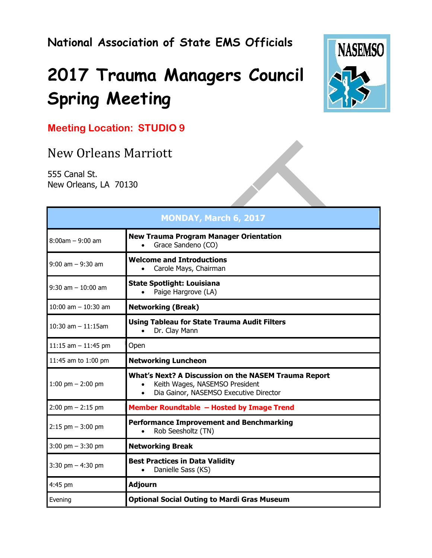## **National Association of State EMS Officials**

# **2017 Trauma Managers Council Spring Meeting**



### **Meeting Location: STUDIO 9**

## New Orleans Marriott

555 Canal St. New Orleans, LA 70130

| <b>MONDAY, March 6, 2017</b> |                                                                                                                                                                   |
|------------------------------|-------------------------------------------------------------------------------------------------------------------------------------------------------------------|
| $8:00am - 9:00am$            | <b>New Trauma Program Manager Orientation</b><br>Grace Sandeno (CO)<br>$\bullet$                                                                                  |
| $9:00$ am $-9:30$ am         | <b>Welcome and Introductions</b><br>Carole Mays, Chairman<br>$\bullet$                                                                                            |
| $9:30$ am $-10:00$ am        | <b>State Spotlight: Louisiana</b><br>Paige Hargrove (LA)<br>$\bullet$                                                                                             |
| 10:00 am $-$ 10:30 am        | <b>Networking (Break)</b>                                                                                                                                         |
| $10:30$ am $-11:15$ am       | <b>Using Tableau for State Trauma Audit Filters</b><br>Dr. Clay Mann<br>$\bullet$                                                                                 |
| 11:15 am $-$ 11:45 pm        | Open                                                                                                                                                              |
| 11:45 am to 1:00 pm          | <b>Networking Luncheon</b>                                                                                                                                        |
| 1:00 pm $-$ 2:00 pm          | <b>What's Next? A Discussion on the NASEM Trauma Report</b><br>Keith Wages, NASEMSO President<br>$\bullet$<br>Dia Gainor, NASEMSO Executive Director<br>$\bullet$ |
| $2:00$ pm $- 2:15$ pm        | Member Roundtable - Hosted by Image Trend                                                                                                                         |
| $2:15$ pm $-3:00$ pm         | <b>Performance Improvement and Benchmarking</b><br>Rob Seesholtz (TN)<br>$\bullet$                                                                                |
| $3:00$ pm $-3:30$ pm         | <b>Networking Break</b>                                                                                                                                           |
| $3:30$ pm $-4:30$ pm         | <b>Best Practices in Data Validity</b><br>Danielle Sass (KS)<br>$\bullet$                                                                                         |
| 4:45 pm                      | <b>Adjourn</b>                                                                                                                                                    |
| Evening                      | <b>Optional Social Outing to Mardi Gras Museum</b>                                                                                                                |